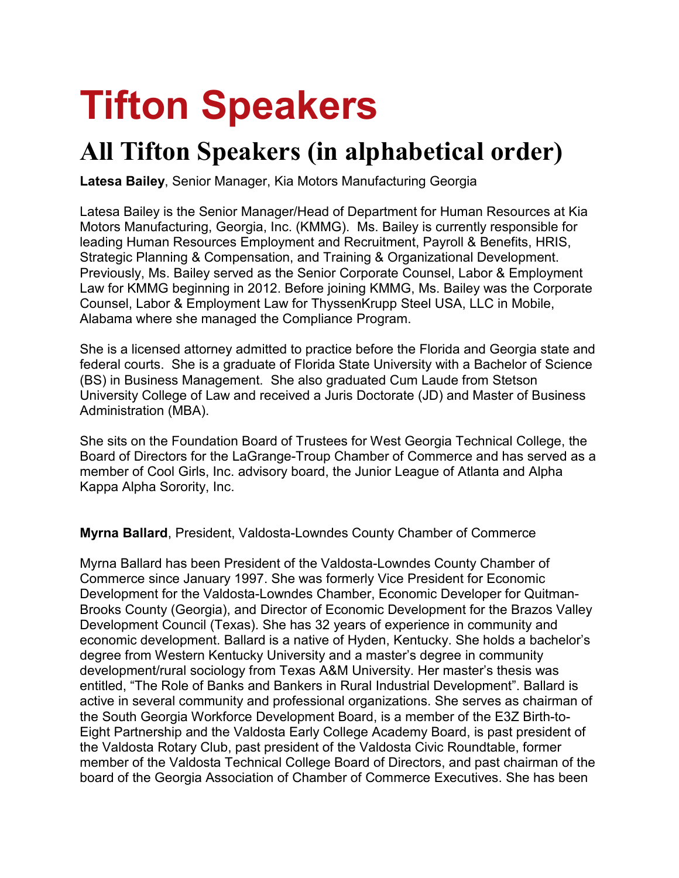# **Tifton Speakers**

# **All Tifton Speakers (in alphabetical order)**

**Latesa Bailey**, Senior Manager, Kia Motors Manufacturing Georgia

Latesa Bailey is the Senior Manager/Head of Department for Human Resources at Kia Motors Manufacturing, Georgia, Inc. (KMMG). Ms. Bailey is currently responsible for leading Human Resources Employment and Recruitment, Payroll & Benefits, HRIS, Strategic Planning & Compensation, and Training & Organizational Development. Previously, Ms. Bailey served as the Senior Corporate Counsel, Labor & Employment Law for KMMG beginning in 2012. Before joining KMMG, Ms. Bailey was the Corporate Counsel, Labor & Employment Law for ThyssenKrupp Steel USA, LLC in Mobile, Alabama where she managed the Compliance Program.

She is a licensed attorney admitted to practice before the Florida and Georgia state and federal courts. She is a graduate of Florida State University with a Bachelor of Science (BS) in Business Management. She also graduated Cum Laude from Stetson University College of Law and received a Juris Doctorate (JD) and Master of Business Administration (MBA).

She sits on the Foundation Board of Trustees for West Georgia Technical College, the Board of Directors for the LaGrange-Troup Chamber of Commerce and has served as a member of Cool Girls, Inc. advisory board, the Junior League of Atlanta and Alpha Kappa Alpha Sorority, Inc.

**Myrna Ballard**, President, Valdosta-Lowndes County Chamber of Commerce

Myrna Ballard has been President of the Valdosta-Lowndes County Chamber of Commerce since January 1997. She was formerly Vice President for Economic Development for the Valdosta-Lowndes Chamber, Economic Developer for Quitman-Brooks County (Georgia), and Director of Economic Development for the Brazos Valley Development Council (Texas). She has 32 years of experience in community and economic development. Ballard is a native of Hyden, Kentucky. She holds a bachelor's degree from Western Kentucky University and a master's degree in community development/rural sociology from Texas A&M University. Her master's thesis was entitled, "The Role of Banks and Bankers in Rural Industrial Development". Ballard is active in several community and professional organizations. She serves as chairman of the South Georgia Workforce Development Board, is a member of the E3Z Birth-to-Eight Partnership and the Valdosta Early College Academy Board, is past president of the Valdosta Rotary Club, past president of the Valdosta Civic Roundtable, former member of the Valdosta Technical College Board of Directors, and past chairman of the board of the Georgia Association of Chamber of Commerce Executives. She has been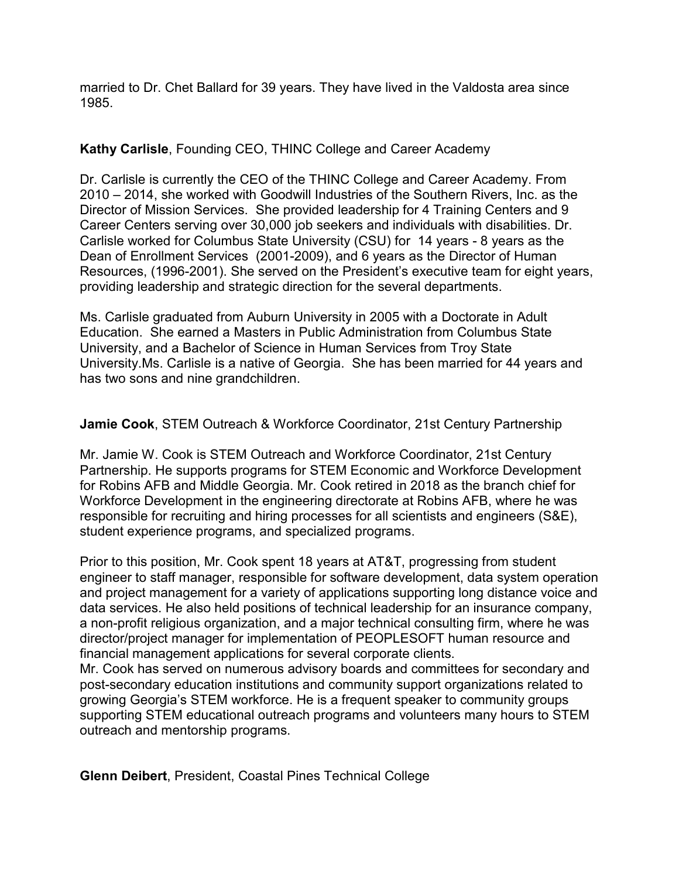married to Dr. Chet Ballard for 39 years. They have lived in the Valdosta area since 1985.

# **Kathy Carlisle**, Founding CEO, THINC College and Career Academy

Dr. Carlisle is currently the CEO of the THINC College and Career Academy. From 2010 – 2014, she worked with Goodwill Industries of the Southern Rivers, Inc. as the Director of Mission Services. She provided leadership for 4 Training Centers and 9 Career Centers serving over 30,000 job seekers and individuals with disabilities. Dr. Carlisle worked for Columbus State University (CSU) for 14 years - 8 years as the Dean of Enrollment Services (2001-2009), and 6 years as the Director of Human Resources, (1996-2001). She served on the President's executive team for eight years, providing leadership and strategic direction for the several departments.

Ms. Carlisle graduated from Auburn University in 2005 with a Doctorate in Adult Education. She earned a Masters in Public Administration from Columbus State University, and a Bachelor of Science in Human Services from Troy State University.Ms. Carlisle is a native of Georgia. She has been married for 44 years and has two sons and nine grandchildren.

# **Jamie Cook**, STEM Outreach & Workforce Coordinator, 21st Century Partnership

Mr. Jamie W. Cook is STEM Outreach and Workforce Coordinator, 21st Century Partnership. He supports programs for STEM Economic and Workforce Development for Robins AFB and Middle Georgia. Mr. Cook retired in 2018 as the branch chief for Workforce Development in the engineering directorate at Robins AFB, where he was responsible for recruiting and hiring processes for all scientists and engineers (S&E), student experience programs, and specialized programs.

Prior to this position, Mr. Cook spent 18 years at AT&T, progressing from student engineer to staff manager, responsible for software development, data system operation and project management for a variety of applications supporting long distance voice and data services. He also held positions of technical leadership for an insurance company, a non-profit religious organization, and a major technical consulting firm, where he was director/project manager for implementation of PEOPLESOFT human resource and financial management applications for several corporate clients. Mr. Cook has served on numerous advisory boards and committees for secondary and post-secondary education institutions and community support organizations related to

growing Georgia's STEM workforce. He is a frequent speaker to community groups supporting STEM educational outreach programs and volunteers many hours to STEM outreach and mentorship programs.

**Glenn Deibert**, President, Coastal Pines Technical College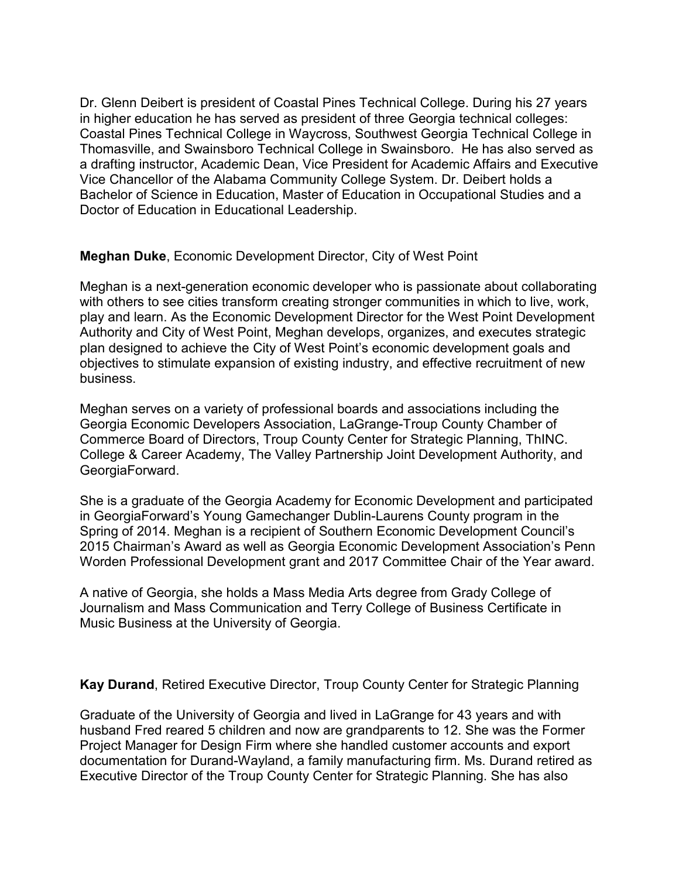Dr. Glenn Deibert is president of Coastal Pines Technical College. During his 27 years in higher education he has served as president of three Georgia technical colleges: Coastal Pines Technical College in Waycross, Southwest Georgia Technical College in Thomasville, and Swainsboro Technical College in Swainsboro. He has also served as a drafting instructor, Academic Dean, Vice President for Academic Affairs and Executive Vice Chancellor of the Alabama Community College System. Dr. Deibert holds a Bachelor of Science in Education, Master of Education in Occupational Studies and a Doctor of Education in Educational Leadership.

**Meghan Duke**, Economic Development Director, City of West Point

Meghan is a next-generation economic developer who is passionate about collaborating with others to see cities transform creating stronger communities in which to live, work, play and learn. As the Economic Development Director for the West Point Development Authority and City of West Point, Meghan develops, organizes, and executes strategic plan designed to achieve the City of West Point's economic development goals and objectives to stimulate expansion of existing industry, and effective recruitment of new business.

Meghan serves on a variety of professional boards and associations including the Georgia Economic Developers Association, LaGrange-Troup County Chamber of Commerce Board of Directors, Troup County Center for Strategic Planning, ThINC. College & Career Academy, The Valley Partnership Joint Development Authority, and GeorgiaForward.

She is a graduate of the Georgia Academy for Economic Development and participated in GeorgiaForward's Young Gamechanger Dublin-Laurens County program in the Spring of 2014. Meghan is a recipient of Southern Economic Development Council's 2015 Chairman's Award as well as Georgia Economic Development Association's Penn Worden Professional Development grant and 2017 Committee Chair of the Year award.

A native of Georgia, she holds a Mass Media Arts degree from Grady College of Journalism and Mass Communication and Terry College of Business Certificate in Music Business at the University of Georgia.

**Kay Durand**, Retired Executive Director, Troup County Center for Strategic Planning

Graduate of the University of Georgia and lived in LaGrange for 43 years and with husband Fred reared 5 children and now are grandparents to 12. She was the Former Project Manager for Design Firm where she handled customer accounts and export documentation for Durand-Wayland, a family manufacturing firm. Ms. Durand retired as Executive Director of the Troup County Center for Strategic Planning. She has also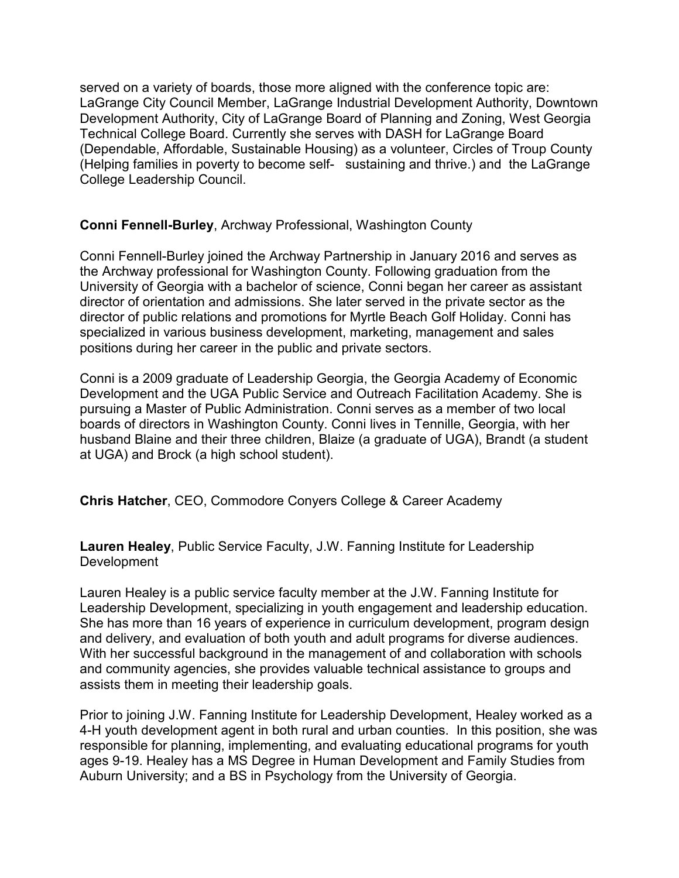served on a variety of boards, those more aligned with the conference topic are: LaGrange City Council Member, LaGrange Industrial Development Authority, Downtown Development Authority, City of LaGrange Board of Planning and Zoning, West Georgia Technical College Board. Currently she serves with DASH for LaGrange Board (Dependable, Affordable, Sustainable Housing) as a volunteer, Circles of Troup County (Helping families in poverty to become self- sustaining and thrive.) and the LaGrange College Leadership Council.

# **Conni Fennell-Burley**, Archway Professional, Washington County

Conni Fennell-Burley joined the Archway Partnership in January 2016 and serves as the Archway professional for Washington County. Following graduation from the University of Georgia with a bachelor of science, Conni began her career as assistant director of orientation and admissions. She later served in the private sector as the director of public relations and promotions for Myrtle Beach Golf Holiday. Conni has specialized in various business development, marketing, management and sales positions during her career in the public and private sectors.

Conni is a 2009 graduate of Leadership Georgia, the Georgia Academy of Economic Development and the UGA Public Service and Outreach Facilitation Academy. She is pursuing a Master of Public Administration. Conni serves as a member of two local boards of directors in Washington County. Conni lives in Tennille, Georgia, with her husband Blaine and their three children, Blaize (a graduate of UGA), Brandt (a student at UGA) and Brock (a high school student).

**Chris Hatcher**, CEO, Commodore Conyers College & Career Academy

**Lauren Healey**, Public Service Faculty, J.W. Fanning Institute for Leadership Development

Lauren Healey is a public service faculty member at the J.W. Fanning Institute for Leadership Development, specializing in youth engagement and leadership education. She has more than 16 years of experience in curriculum development, program design and delivery, and evaluation of both youth and adult programs for diverse audiences. With her successful background in the management of and collaboration with schools and community agencies, she provides valuable technical assistance to groups and assists them in meeting their leadership goals.

Prior to joining J.W. Fanning Institute for Leadership Development, Healey worked as a 4-H youth development agent in both rural and urban counties. In this position, she was responsible for planning, implementing, and evaluating educational programs for youth ages 9-19. Healey has a MS Degree in Human Development and Family Studies from Auburn University; and a BS in Psychology from the University of Georgia.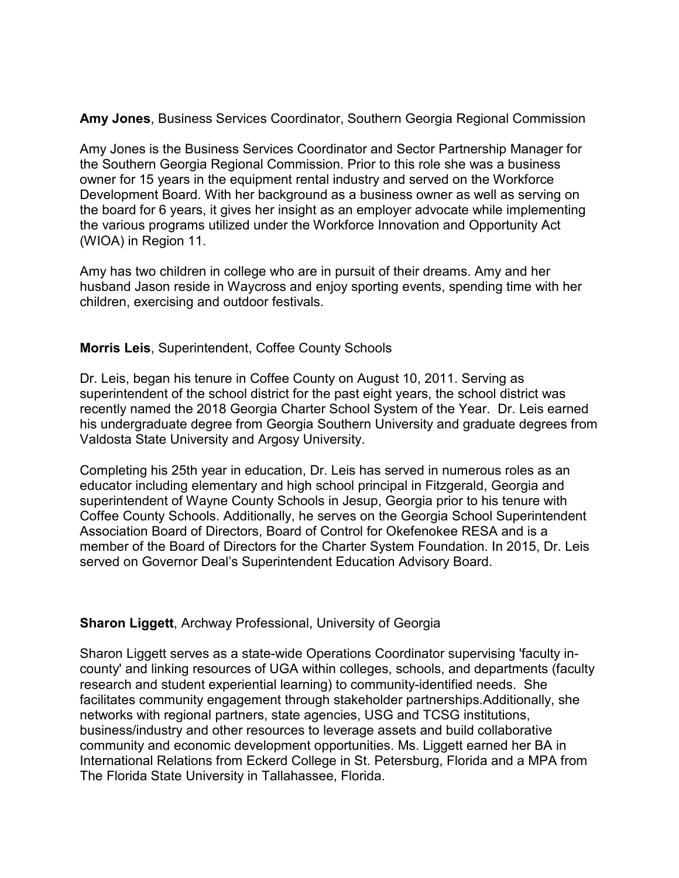**Amy Jones**, Business Services Coordinator, Southern Georgia Regional Commission

Amy Jones is the Business Services Coordinator and Sector Partnership Manager for the Southern Georgia Regional Commission. Prior to this role she was a business owner for 15 years in the equipment rental industry and served on the Workforce Development Board. With her background as a business owner as well as serving on the board for 6 years, it gives her insight as an employer advocate while implementing the various programs utilized under the Workforce Innovation and Opportunity Act (WIOA) in Region 11.

Amy has two children in college who are in pursuit of their dreams. Amy and her husband Jason reside in Waycross and enjoy sporting events, spending time with her children, exercising and outdoor festivals.

# **Morris Leis**, Superintendent, Coffee County Schools

Dr. Leis, began his tenure in Coffee County on August 10, 2011. Serving as superintendent of the school district for the past eight years, the school district was recently named the 2018 Georgia Charter School System of the Year. Dr. Leis earned his undergraduate degree from Georgia Southern University and graduate degrees from Valdosta State University and Argosy University.

Completing his 25th year in education, Dr. Leis has served in numerous roles as an educator including elementary and high school principal in Fitzgerald, Georgia and superintendent of Wayne County Schools in Jesup, Georgia prior to his tenure with Coffee County Schools. Additionally, he serves on the Georgia School Superintendent Association Board of Directors, Board of Control for Okefenokee RESA and is a member of the Board of Directors for the Charter System Foundation. In 2015, Dr. Leis served on Governor Deal's Superintendent Education Advisory Board.

# **Sharon Liggett**, Archway Professional, University of Georgia

Sharon Liggett serves as a state-wide Operations Coordinator supervising 'faculty incounty' and linking resources of UGA within colleges, schools, and departments (faculty research and student experiential learning) to community-identified needs. She facilitates community engagement through stakeholder partnerships.Additionally, she networks with regional partners, state agencies, USG and TCSG institutions, business/industry and other resources to leverage assets and build collaborative community and economic development opportunities. Ms. Liggett earned her BA in International Relations from Eckerd College in St. Petersburg, Florida and a MPA from The Florida State University in Tallahassee, Florida.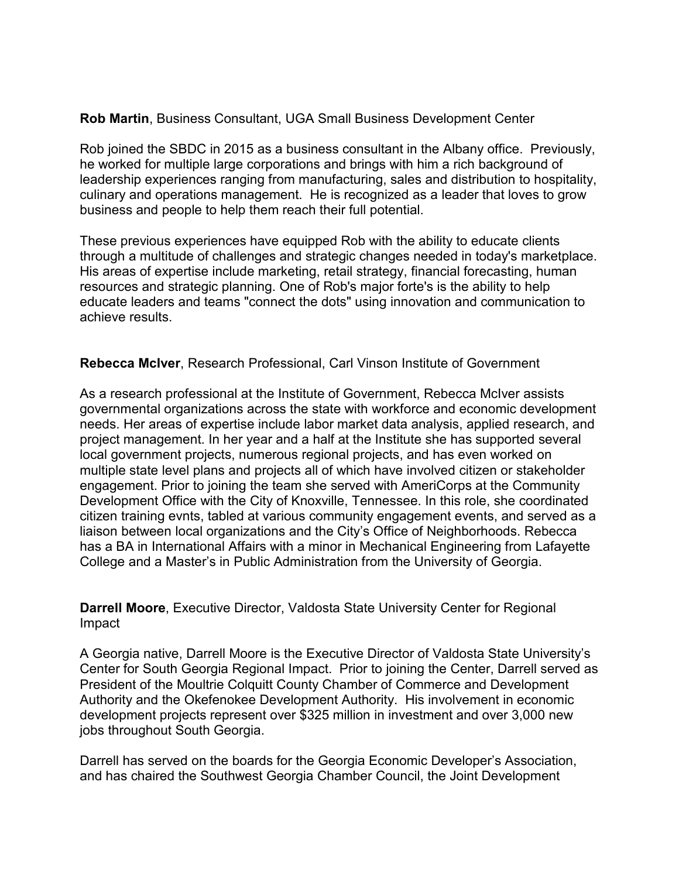# **Rob Martin**, Business Consultant, UGA Small Business Development Center

Rob joined the SBDC in 2015 as a business consultant in the Albany office. Previously, he worked for multiple large corporations and brings with him a rich background of leadership experiences ranging from manufacturing, sales and distribution to hospitality, culinary and operations management. He is recognized as a leader that loves to grow business and people to help them reach their full potential.

These previous experiences have equipped Rob with the ability to educate clients through a multitude of challenges and strategic changes needed in today's marketplace. His areas of expertise include marketing, retail strategy, financial forecasting, human resources and strategic planning. One of Rob's major forte's is the ability to help educate leaders and teams "connect the dots" using innovation and communication to achieve results.

# **Rebecca McIver**, Research Professional, Carl Vinson Institute of Government

As a research professional at the Institute of Government, Rebecca McIver assists governmental organizations across the state with workforce and economic development needs. Her areas of expertise include labor market data analysis, applied research, and project management. In her year and a half at the Institute she has supported several local government projects, numerous regional projects, and has even worked on multiple state level plans and projects all of which have involved citizen or stakeholder engagement. Prior to joining the team she served with AmeriCorps at the Community Development Office with the City of Knoxville, Tennessee. In this role, she coordinated citizen training evnts, tabled at various community engagement events, and served as a liaison between local organizations and the City's Office of Neighborhoods. Rebecca has a BA in International Affairs with a minor in Mechanical Engineering from Lafayette College and a Master's in Public Administration from the University of Georgia.

**Darrell Moore**, Executive Director, Valdosta State University Center for Regional Impact

A Georgia native, Darrell Moore is the Executive Director of Valdosta State University's Center for South Georgia Regional Impact. Prior to joining the Center, Darrell served as President of the Moultrie Colquitt County Chamber of Commerce and Development Authority and the Okefenokee Development Authority. His involvement in economic development projects represent over \$325 million in investment and over 3,000 new jobs throughout South Georgia.

Darrell has served on the boards for the Georgia Economic Developer's Association, and has chaired the Southwest Georgia Chamber Council, the Joint Development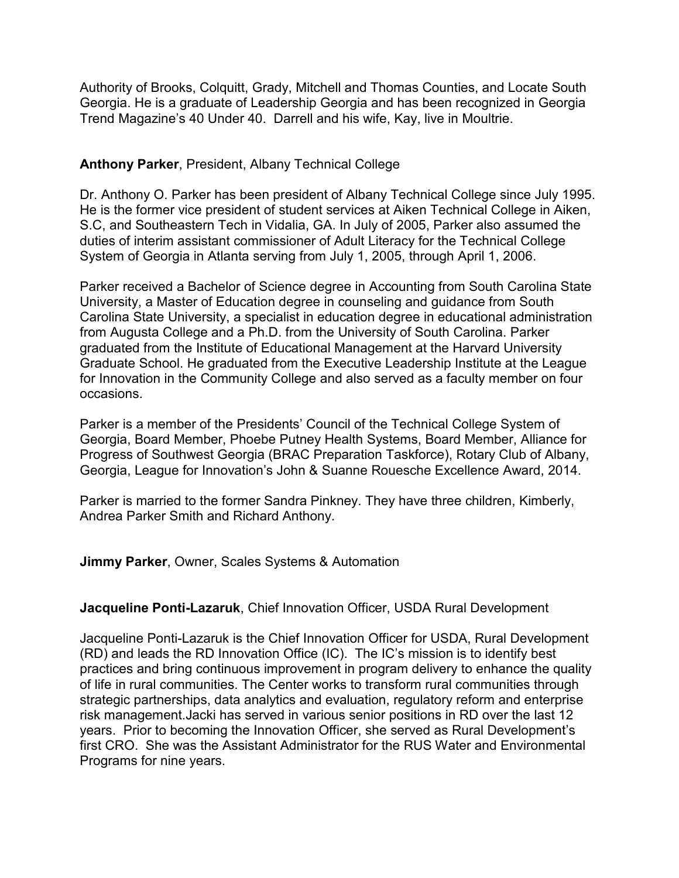Authority of Brooks, Colquitt, Grady, Mitchell and Thomas Counties, and Locate South Georgia. He is a graduate of Leadership Georgia and has been recognized in Georgia Trend Magazine's 40 Under 40. Darrell and his wife, Kay, live in Moultrie.

# **Anthony Parker**, President, Albany Technical College

Dr. Anthony O. Parker has been president of Albany Technical College since July 1995. He is the former vice president of student services at Aiken Technical College in Aiken, S.C, and Southeastern Tech in Vidalia, GA. In July of 2005, Parker also assumed the duties of interim assistant commissioner of Adult Literacy for the Technical College System of Georgia in Atlanta serving from July 1, 2005, through April 1, 2006.

Parker received a Bachelor of Science degree in Accounting from South Carolina State University, a Master of Education degree in counseling and guidance from South Carolina State University, a specialist in education degree in educational administration from Augusta College and a Ph.D. from the University of South Carolina. Parker graduated from the Institute of Educational Management at the Harvard University Graduate School. He graduated from the Executive Leadership Institute at the League for Innovation in the Community College and also served as a faculty member on four occasions.

Parker is a member of the Presidents' Council of the Technical College System of Georgia, Board Member, Phoebe Putney Health Systems, Board Member, Alliance for Progress of Southwest Georgia (BRAC Preparation Taskforce), Rotary Club of Albany, Georgia, League for Innovation's John & Suanne Rouesche Excellence Award, 2014.

Parker is married to the former Sandra Pinkney. They have three children, Kimberly, Andrea Parker Smith and Richard Anthony.

# **Jimmy Parker**, Owner, Scales Systems & Automation

# **Jacqueline Ponti-Lazaruk**, Chief Innovation Officer, USDA Rural Development

Jacqueline Ponti-Lazaruk is the Chief Innovation Officer for USDA, Rural Development (RD) and leads the RD Innovation Office (IC). The IC's mission is to identify best practices and bring continuous improvement in program delivery to enhance the quality of life in rural communities. The Center works to transform rural communities through strategic partnerships, data analytics and evaluation, regulatory reform and enterprise risk management.Jacki has served in various senior positions in RD over the last 12 years. Prior to becoming the Innovation Officer, she served as Rural Development's first CRO. She was the Assistant Administrator for the RUS Water and Environmental Programs for nine years.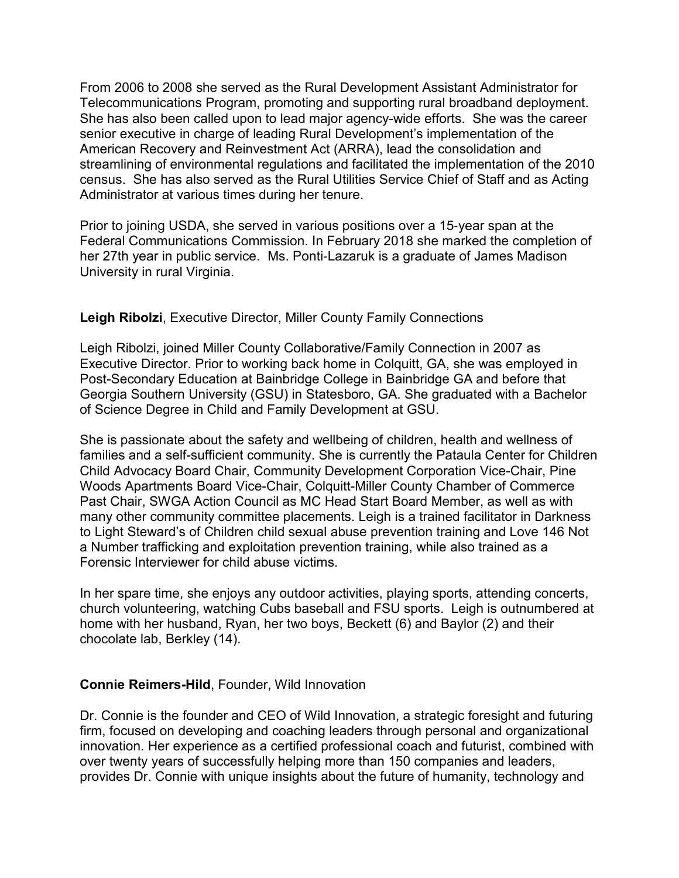From 2006 to 2008 she served as the Rural Development Assistant Administrator for Telecommunications Program, promoting and supporting rural broadband deployment. She has also been called upon to lead major agency-wide efforts. She was the career senior executive in charge of leading Rural Development's implementation of the American Recovery and Reinvestment Act (ARRA), lead the consolidation and streamlining of environmental regulations and facilitated the implementation of the 2010 census. She has also served as the Rural Utilities Service Chief of Staff and as Acting Administrator at various times during her tenure.

Prior to joining USDA, she served in various positions over a 15‐year span at the Federal Communications Commission. In February 2018 she marked the completion of her 27th year in public service. Ms. Ponti‐Lazaruk is a graduate of James Madison University in rural Virginia.

# **Leigh Ribolzi**, Executive Director, Miller County Family Connections

Leigh Ribolzi, joined Miller County Collaborative/Family Connection in 2007 as Executive Director. Prior to working back home in Colquitt, GA, she was employed in Post-Secondary Education at Bainbridge College in Bainbridge GA and before that Georgia Southern University (GSU) in Statesboro, GA. She graduated with a Bachelor of Science Degree in Child and Family Development at GSU.

She is passionate about the safety and wellbeing of children, health and wellness of families and a self-sufficient community. She is currently the Pataula Center for Children Child Advocacy Board Chair, Community Development Corporation Vice-Chair, Pine Woods Apartments Board Vice-Chair, Colquitt-Miller County Chamber of Commerce Past Chair, SWGA Action Council as MC Head Start Board Member, as well as with many other community committee placements. Leigh is a trained facilitator in Darkness to Light Steward's of Children child sexual abuse prevention training and Love 146 Not a Number trafficking and exploitation prevention training, while also trained as a Forensic Interviewer for child abuse victims.

In her spare time, she enjoys any outdoor activities, playing sports, attending concerts, church volunteering, watching Cubs baseball and FSU sports. Leigh is outnumbered at home with her husband, Ryan, her two boys, Beckett (6) and Baylor (2) and their chocolate lab, Berkley (14).

# **Connie Reimers-Hild**, Founder, Wild Innovation

Dr. Connie is the founder and CEO of Wild Innovation, a strategic foresight and futuring firm, focused on developing and coaching leaders through personal and organizational innovation. Her experience as a certified professional coach and futurist, combined with over twenty years of successfully helping more than 150 companies and leaders, provides Dr. Connie with unique insights about the future of humanity, technology and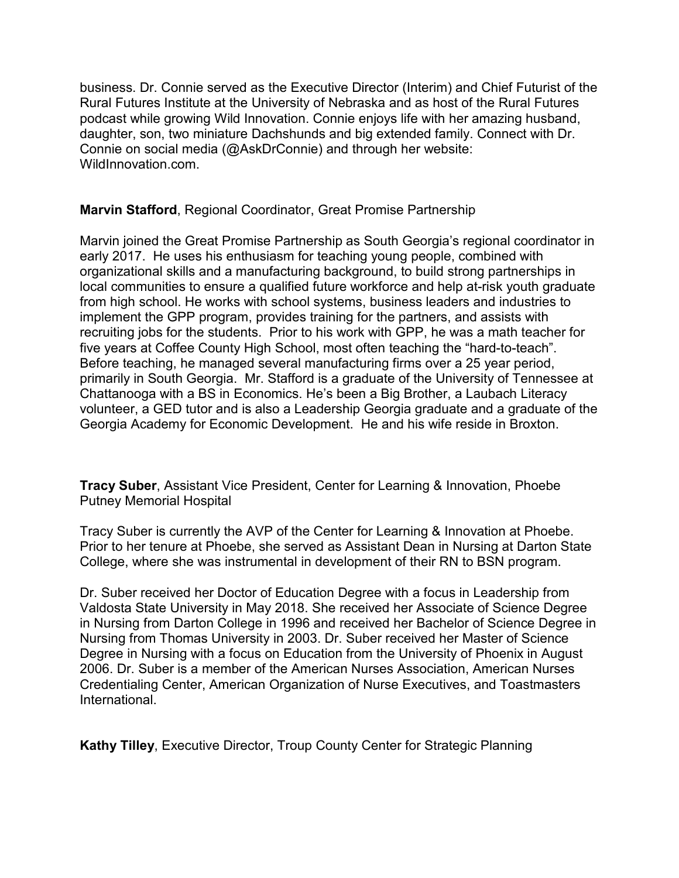business. Dr. Connie served as the Executive Director (Interim) and Chief Futurist of the Rural Futures Institute at the University of Nebraska and as host of the Rural Futures podcast while growing Wild Innovation. Connie enjoys life with her amazing husband, daughter, son, two miniature Dachshunds and big extended family. Connect with Dr. Connie on social media (@AskDrConnie) and through her website: WildInnovation.com.

# **Marvin Stafford**, Regional Coordinator, Great Promise Partnership

Marvin joined the Great Promise Partnership as South Georgia's regional coordinator in early 2017. He uses his enthusiasm for teaching young people, combined with organizational skills and a manufacturing background, to build strong partnerships in local communities to ensure a qualified future workforce and help at-risk youth graduate from high school. He works with school systems, business leaders and industries to implement the GPP program, provides training for the partners, and assists with recruiting jobs for the students. Prior to his work with GPP, he was a math teacher for five years at Coffee County High School, most often teaching the "hard-to-teach". Before teaching, he managed several manufacturing firms over a 25 year period, primarily in South Georgia. Mr. Stafford is a graduate of the University of Tennessee at Chattanooga with a BS in Economics. He's been a Big Brother, a Laubach Literacy volunteer, a GED tutor and is also a Leadership Georgia graduate and a graduate of the Georgia Academy for Economic Development. He and his wife reside in Broxton.

**Tracy Suber**, Assistant Vice President, Center for Learning & Innovation, Phoebe Putney Memorial Hospital

Tracy Suber is currently the AVP of the Center for Learning & Innovation at Phoebe. Prior to her tenure at Phoebe, she served as Assistant Dean in Nursing at Darton State College, where she was instrumental in development of their RN to BSN program.

Dr. Suber received her Doctor of Education Degree with a focus in Leadership from Valdosta State University in May 2018. She received her Associate of Science Degree in Nursing from Darton College in 1996 and received her Bachelor of Science Degree in Nursing from Thomas University in 2003. Dr. Suber received her Master of Science Degree in Nursing with a focus on Education from the University of Phoenix in August 2006. Dr. Suber is a member of the American Nurses Association, American Nurses Credentialing Center, American Organization of Nurse Executives, and Toastmasters International.

**Kathy Tilley**, Executive Director, Troup County Center for Strategic Planning